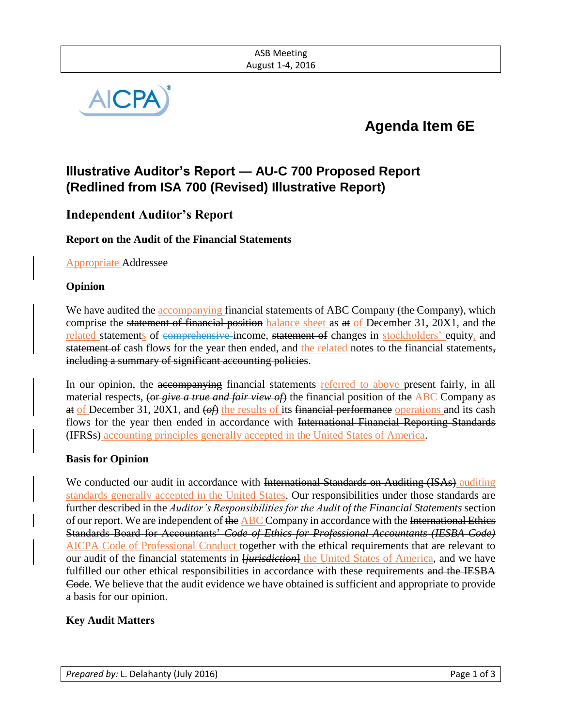

# **Agenda Item 6E**

## **Illustrative Auditor's Report — AU-C 700 Proposed Report (Redlined from ISA 700 (Revised) Illustrative Report)**

### **Independent Auditor's Report**

#### **Report on the Audit of the Financial Statements**

Appropriate Addressee

#### **Opinion**

We have audited the accompanying financial statements of ABC Company (the Company), which comprise the statement of financial position balance sheet as at of December 31, 20X1, and the related statements of comprehensive income, statement of changes in stockholders' equity, and statement of cash flows for the year then ended, and the related notes to the financial statements, including a summary of significant accounting policies.

In our opinion, the accompanying financial statements referred to above present fairly, in all material respects, (or *give a true and fair view of*) the financial position of the ABC Company as at of December 31, 20X1, and (*of*) the results of its financial performance operations and its cash flows for the year then ended in accordance with International Financial Reporting Standards (IFRSs) accounting principles generally accepted in the United States of America.

#### **Basis for Opinion**

We conducted our audit in accordance with International Standards on Auditing (ISAs) auditing standards generally accepted in the United States. Our responsibilities under those standards are further described in the *Auditor's Responsibilities for the Audit of the Financial Statements* section of our report. We are independent of the ABC Company in accordance with the International Ethics Standards Board for Accountants' *Code of Ethics for Professional Accountants (IESBA Code)* AICPA Code of Professional Conduct together with the ethical requirements that are relevant to our audit of the financial statements in [*jurisdiction*] the United States of America, and we have fulfilled our other ethical responsibilities in accordance with these requirements and the IESBA Code. We believe that the audit evidence we have obtained is sufficient and appropriate to provide a basis for our opinion.

#### **Key Audit Matters**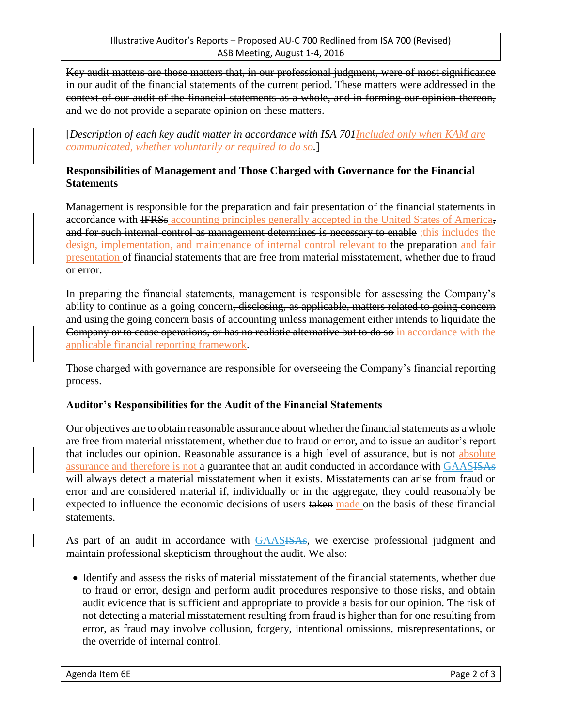Key audit matters are those matters that, in our professional judgment, were of most significance in our audit of the financial statements of the current period. These matters were addressed in the context of our audit of the financial statements as a whole, and in forming our opinion thereon, and we do not provide a separate opinion on these matters.

#### [*Description of each key audit matter in accordance with ISA 701Included only when KAM are communicated, whether voluntarily or required to do so.*]

#### **Responsibilities of Management and Those Charged with Governance for the Financial Statements**

Management is responsible for the preparation and fair presentation of the financial statements in accordance with IFRSs accounting principles generally accepted in the United States of America, and for such internal control as management determines is necessary to enable ;this includes the design, implementation, and maintenance of internal control relevant to the preparation and fair presentation of financial statements that are free from material misstatement, whether due to fraud or error.

In preparing the financial statements, management is responsible for assessing the Company's ability to continue as a going concern<del>, disclosing, as applicable, matters related to going concern</del> and using the going concern basis of accounting unless management either intends to liquidate the Company or to cease operations, or has no realistic alternative but to do so in accordance with the applicable financial reporting framework.

Those charged with governance are responsible for overseeing the Company's financial reporting process.

#### **Auditor's Responsibilities for the Audit of the Financial Statements**

Our objectives are to obtain reasonable assurance about whether the financial statements as a whole are free from material misstatement, whether due to fraud or error, and to issue an auditor's report that includes our opinion. Reasonable assurance is a high level of assurance, but is not absolute assurance and therefore is not a guarantee that an audit conducted in accordance with GAASISAs will always detect a material misstatement when it exists. Misstatements can arise from fraud or error and are considered material if, individually or in the aggregate, they could reasonably be expected to influence the economic decisions of users taken made on the basis of these financial statements.

As part of an audit in accordance with **GAASISAs**, we exercise professional judgment and maintain professional skepticism throughout the audit. We also:

 Identify and assess the risks of material misstatement of the financial statements, whether due to fraud or error, design and perform audit procedures responsive to those risks, and obtain audit evidence that is sufficient and appropriate to provide a basis for our opinion. The risk of not detecting a material misstatement resulting from fraud is higher than for one resulting from error, as fraud may involve collusion, forgery, intentional omissions, misrepresentations, or the override of internal control.